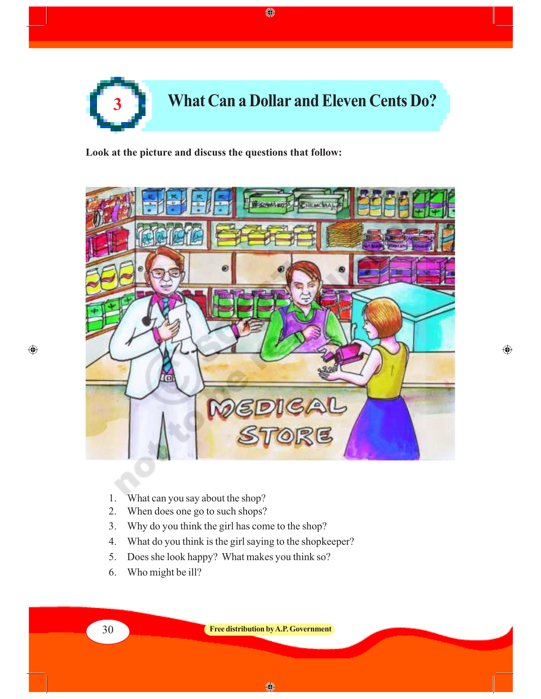

 $\bigoplus$ 

**Look at the picture and discuss the questions that follow:**



 $\bigoplus$ 

- 1. What can you say about the shop?
- 2. When does one go to such shops?
- 3. Why do you think the girl has come to the shop?
- 4. What do you think is the girl saying to the shopkeeper?
- 5. Does she look happy? What makes you think so?
- 6. Who might be ill?

◈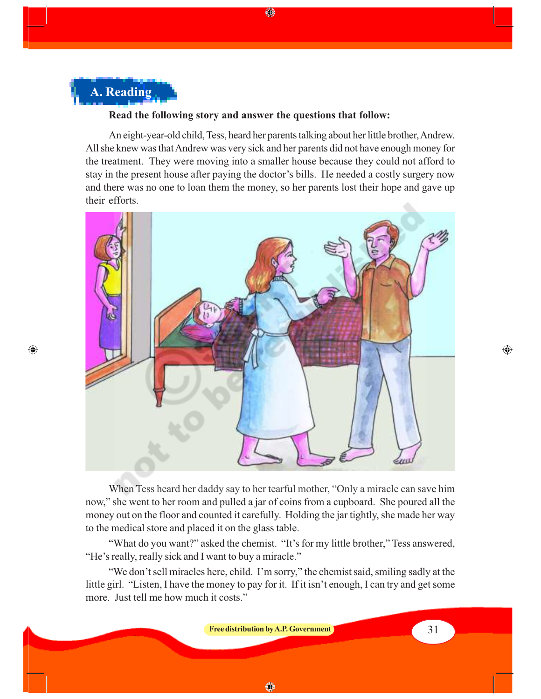# **A. Reading**

 $\bigoplus$ 

#### **Read the following story and answer the questions that follow:**

An eight-year-old child, Tess, heard her parents talking about her little brother, Andrew. All she knew was that Andrew was very sick and her parents did not have enough money for the treatment. They were moving into a smaller house because they could not afford to stay in the present house after paying the doctor's bills. He needed a costly surgery now and there was no one to loan them the money, so her parents lost their hope and gave up their efforts.

⊕



When Tess heard her daddy say to her tearful mother, "Only a miracle can save him now," she went to her room and pulled a jar of coins from a cupboard. She poured all the money out on the floor and counted it carefully. Holding the jar tightly, she made her way to the medical store and placed it on the glass table.

"What do you want?" asked the chemist. "It's for my little brother," Tess answered, "He's really, really sick and I want to buy a miracle."

"We don't sell miracles here, child. I'm sorry," the chemist said, smiling sadly at the little girl. "Listen, I have the money to pay for it. If it isn't enough, I can try and get some more. Just tell me how much it costs."



 $\bigoplus$ 

◈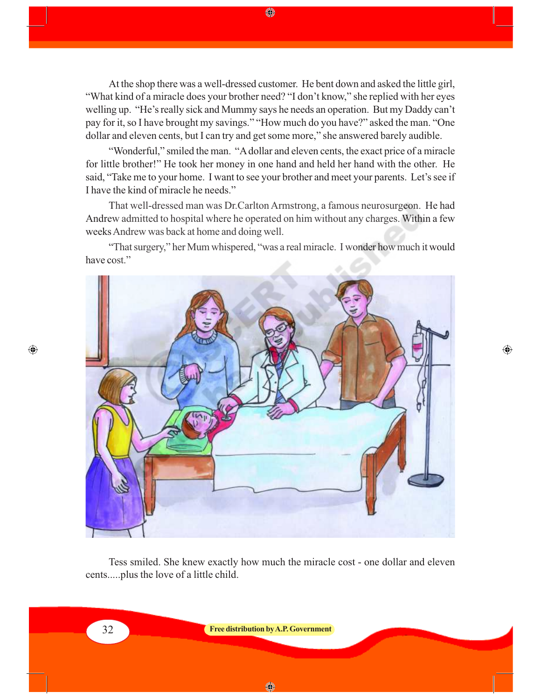At the shop there was a well-dressed customer. He bent down and asked the little girl, "What kind of a miracle does your brother need? "I don't know," she replied with her eyes welling up. "He's really sick and Mummy says he needs an operation. But my Daddy can't pay for it, so I have brought my savings." "How much do you have?" asked the man. "One dollar and eleven cents, but I can try and get some more," she answered barely audible.

◈

"Wonderful," smiled the man. "A dollar and eleven cents, the exact price of a miracle for little brother!" He took her money in one hand and held her hand with the other. He said, "Take me to your home. I want to see your brother and meet your parents. Let's see if I have the kind of miracle he needs."

That well-dressed man was Dr.Carlton Armstrong, a famous neurosurgeon. He had Andrew admitted to hospital where he operated on him without any charges. Within a few weeks Andrew was back at home and doing well.

"That surgery," her Mum whispered, "was a real miracle. I wonder how much it would have cost."



 $\textcolor{black}{\textcircled{\small\textrm{-}}}$ 

Tess smiled. She knew exactly how much the miracle cost - one dollar and eleven cents.....plus the love of a little child.

 $\bigoplus$ 

32 **Free distribution by A.P. Government**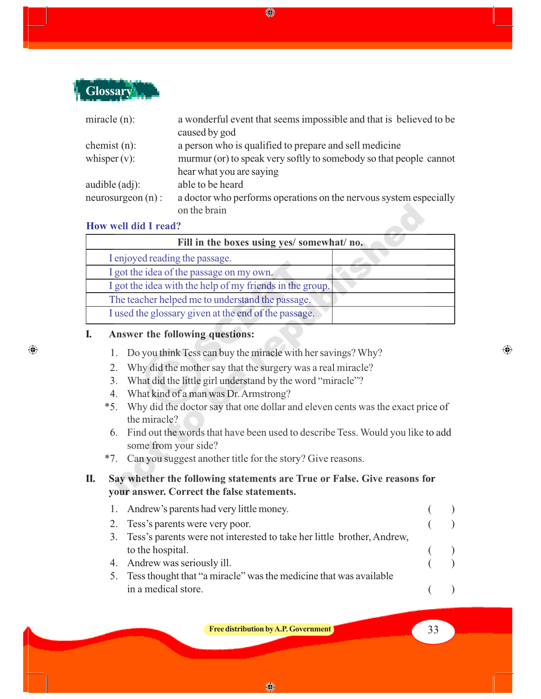

| miracle $(n)$ :     | a wonderful event that seems impossible and that is believed to be |
|---------------------|--------------------------------------------------------------------|
|                     | caused by god                                                      |
| chemist $(n)$ :     | a person who is qualified to prepare and sell medicine             |
| whisper $(v)$ :     | murmur (or) to speak very softly to somebody so that people cannot |
|                     | hear what you are saying                                           |
| audible $(adj)$ :   | able to be heard                                                   |
| $neurosurgeon(n)$ : | a doctor who performs operations on the nervous system especially  |
|                     | on the brain                                                       |

#### **How well did I read?**

 $\bigoplus$ 

| Fill in the boxes using yes/ somewhat/ no.               |  |
|----------------------------------------------------------|--|
| I enjoyed reading the passage.                           |  |
| I got the idea of the passage on my own.                 |  |
| I got the idea with the help of my friends in the group. |  |
| The teacher helped me to understand the passage.         |  |
| I used the glossary given at the end of the passage.     |  |

#### **I. Answer the following questions:**

- 1. Do you think Tess can buy the miracle with her savings? Why?
- 2. Why did the mother say that the surgery was a real miracle?
- 3. What did the little girl understand by the word "miracle"?
- 4. What kind of a man was Dr. Armstrong?
- \*5. Why did the doctor say that one dollar and eleven cents was the exact price of the miracle?
- 6. Find out the words that have been used to describe Tess. Would you like to add some from your side?
- \*7. Can you suggest another title for the story? Give reasons.

### **II. Say whether the following statements are True or False. Give reasons for your answer. Correct the false statements.**

|    | 1. Andrew's parents had very little money.                                |  |
|----|---------------------------------------------------------------------------|--|
|    | 2. Tess's parents were very poor.                                         |  |
|    | 3. Tess's parents were not interested to take her little brother, Andrew, |  |
|    | to the hospital.                                                          |  |
|    | 4. Andrew was seriously ill.                                              |  |
| 5. | Tess thought that "a miracle" was the medicine that was available         |  |
|    | in a medical store.                                                       |  |

**Free distribution by A.P. Government 1999 1999 1999 1999 1999 1999 1999 1999 1999 1999 1999 1999 1999 1999 1999 1999 1999 1999 1999 1999 1999 1999 1999 1999 1999 1999**

◈

 $\bigoplus$ 

♦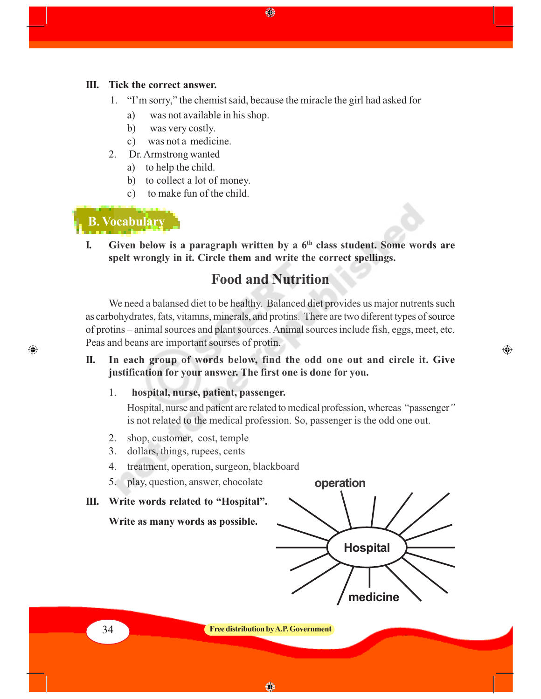#### **III. Tick the correct answer.**

- 1. "I'm sorry," the chemist said, because the miracle the girl had asked for
	- a) was not available in his shop.
	- b) was very costly.
	- c) was not a medicine.
- 2. Dr. Armstrong wanted
	- a) to help the child.
	- b) to collect a lot of money.
	- c) to make fun of the child.

### **B. Vocabulary**

 $\bigcirc$ 

**I. Given below is a paragraph written by a 6th class student. Some words are spelt wrongly in it. Circle them and write the correct spellings.**

### **Food and Nutrition**

We need a balansed diet to be healthy. Balanced diet provides us major nutrents such as carbohydrates, fats, vitamns, minerals, and protins. There are two diferent types of source of protins – animal sources and plant sources. Animal sources include fish, eggs, meet, etc. Peas and beans are important sourses of protin.

**II. In each group of words below, find the odd one out and circle it. Give justification for your answer. The first one is done for you.**

#### 1. **hospital, nurse, patient, passenger.**

Hospital, nurse and patient are related to medical profession, whereas "passenger*"* is not related to the medical profession. So, passenger is the odd one out.

- 2. shop, customer, cost, temple
- 3. dollars, things, rupees, cents
- 4. treatment, operation, surgeon, blackboard
- 5. play, question, answer, chocolate

#### **III. Write words related to "Hospital".**

**Write as many words as possible.**



 $\bigoplus$ 

34 **Free distribution by A.P. Government**

◈

◈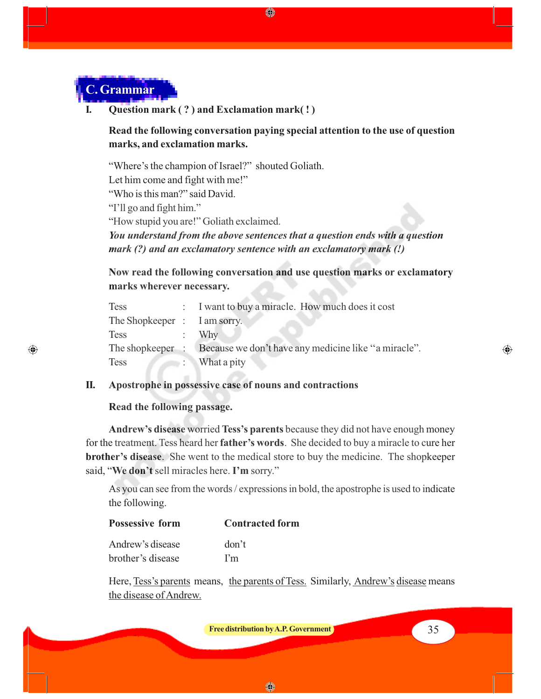

 $\bigcirc$ 

**I. Question mark ( ? ) and Exclamation mark( ! )**

**Read the following conversation paying special attention to the use of question marks, and exclamation marks.**

◈

"Where's the champion of Israel?" shouted Goliath. Let him come and fight with me!" "Who is this man?" said David. "I'll go and fight him." "How stupid you are!" Goliath exclaimed. *You understand from the above sentences that a question ends with a question mark (?) and an exclamatory sentence with an exclamatory mark (!)*

**Now read the following conversation and use question marks or exclamatory marks wherever necessary.**

| <b>Tess</b>                  | : I want to buy a miracle. How much does it cost     |
|------------------------------|------------------------------------------------------|
| The Shopkeeper : I am sorry. |                                                      |
| <b>Tess</b>                  | Why                                                  |
| The shopkeeper :             | Because we don't have any medicine like "a miracle". |
| <b>Tess</b>                  | What a pity                                          |

#### **II. Apostrophe in possessive case of nouns and contractions**

#### **Read the following passage.**

**Andrew's disease** worried **Tess's parents** because they did not have enough money for the treatment. Tess heard her **father's words**. She decided to buy a miracle to cure her **brother's disease**. She went to the medical store to buy the medicine. The shopkeeper said, "**We don't** sell miracles here. **I'm** sorry."

As you can see from the words / expressions in bold, the apostrophe is used to indicate the following.

| <b>Possessive form</b> | <b>Contracted form</b> |
|------------------------|------------------------|
| Andrew's disease       | don't                  |
| brother's disease      | Pm                     |

Here, Tess's parents means, the parents of Tess. Similarly, Andrew's disease means the disease of Andrew.

**Free distribution by A.P. Government 1996 1997 1997 1997 1998 1997 1998 1999 1999 1999 1999 1999 1999 1999 1999 1999 1999 1999 1999 1999 1999 1999 1999 1999 1999 1999**

◈

⊕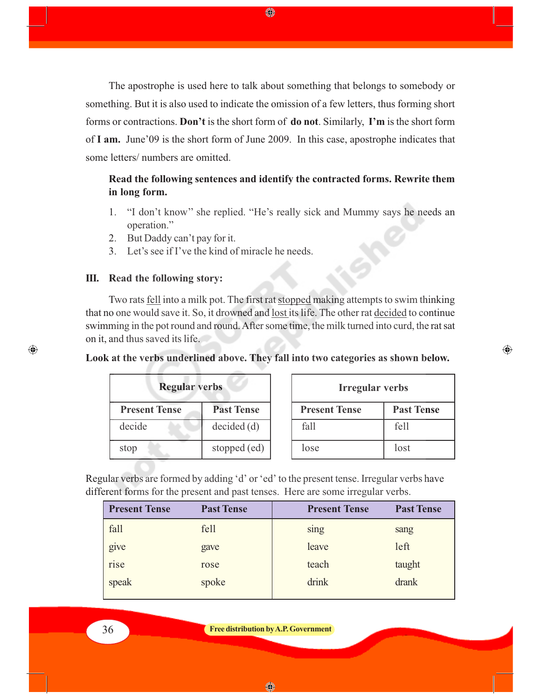The apostrophe is used here to talk about something that belongs to somebody or something. But it is also used to indicate the omission of a few letters, thus forming short forms or contractions. **Don't** is the short form of **do not**. Similarly, **I'm** is the short form of **I am.** June'09 is the short form of June 2009. In this case, apostrophe indicates that some letters/ numbers are omitted.

◈

### **Read the following sentences and identify the contracted forms. Rewrite them in long form.**

- 1. "I don't know'' she replied. "He's really sick and Mummy says he needs an operation."
- 2. But Daddy can't pay for it.
- 3. Let's see if I've the kind of miracle he needs.

#### **III. Read the following story:**

Two rats fell into a milk pot. The first rat stopped making attempts to swim thinking that no one would save it. So, it drowned and lost its life. The other rat decided to continue swimming in the pot round and round. After some time, the milk turned into curd, the rat sat on it, and thus saved its life.

**Look at the verbs underlined above. They fall into two categories as shown below.**

| <b>Regular verbs</b> |                   | <b>Irregular verbs</b> |                   |
|----------------------|-------------------|------------------------|-------------------|
| <b>Present Tense</b> | <b>Past Tense</b> | <b>Present Tense</b>   | <b>Past Tense</b> |
| decide               | decided(d)        | fall                   | fell              |
| stop                 | stopped (ed)      | lose                   | lost              |

 $\bigoplus$ 

Regular verbs are formed by adding 'd' or 'ed' to the present tense. Irregular verbs have different forms for the present and past tenses. Here are some irregular verbs.

| <b>Present Tense</b> | <b>Past Tense</b> | <b>Present Tense</b> | <b>Past Tense</b> |
|----------------------|-------------------|----------------------|-------------------|
| fall                 | fell              | sing                 | sang              |
| give                 | gave              | leave                | left              |
| rise                 | rose              | teach                | taught            |
| speak                | spoke             | drink                | drank             |
|                      |                   |                      |                   |

⊕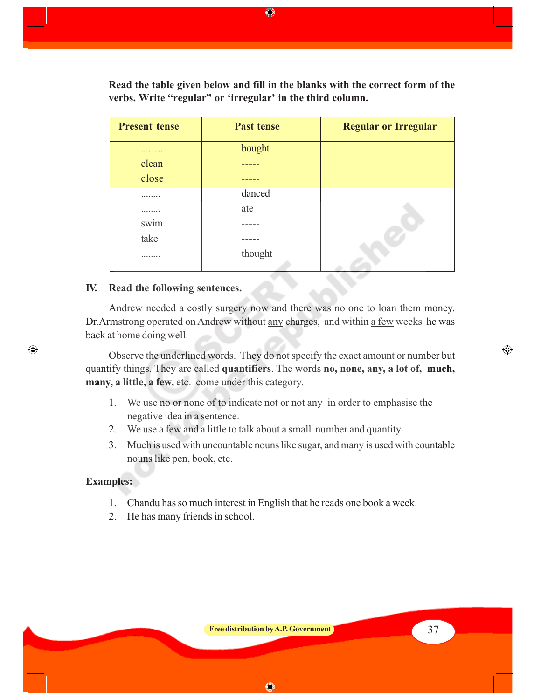**Read the table given below and fill in the blanks with the correct form of the verbs. Write "regular" or 'irregular' in the third column.**

◈

| <b>Present tense</b> | <b>Past tense</b> | <b>Regular or Irregular</b> |
|----------------------|-------------------|-----------------------------|
|                      | bought            |                             |
| clean                |                   |                             |
| close                |                   |                             |
|                      | danced            |                             |
|                      | ate               |                             |
| swim                 |                   |                             |
| take                 |                   |                             |
|                      | thought           |                             |

#### **IV. Read the following sentences.**

Andrew needed a costly surgery now and there was no one to loan them money. Dr.Armstrong operated on Andrew without any charges, and within a few weeks he was back at home doing well.

Observe the underlined words. They do not specify the exact amount or number but quantify things. They are called **quantifiers**. The words **no, none, any, a lot of, much, many, a little, a few,** etc. come under this category.

- 1. We use no or none of to indicate not or not any in order to emphasise the negative idea in a sentence.
- 2. We use a few and a little to talk about a small number and quantity.
- 3. Much is used with uncountable nouns like sugar, and many is used with countable nouns like pen, book, etc.

#### **Examples:**

⊕

- 1. Chandu has so much interest in English that he reads one book a week.
- 2. He has many friends in school.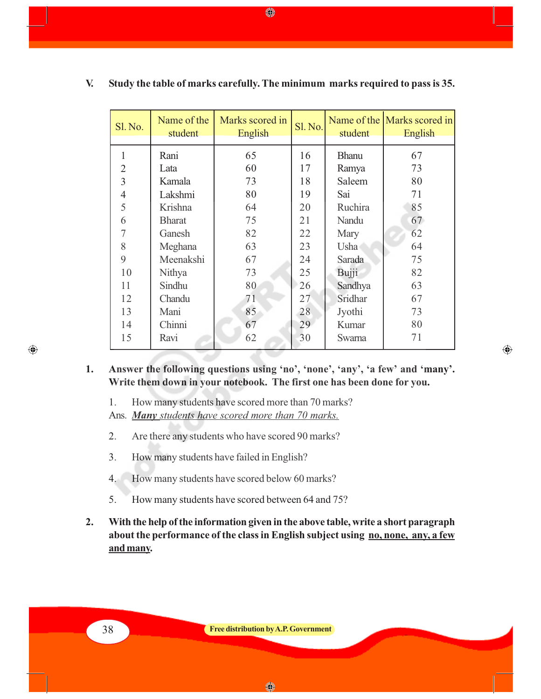| Sl. No.        | Name of the<br>student | Marks scored in<br>English | Sl. No. | student      | Name of the Marks scored in<br>English |
|----------------|------------------------|----------------------------|---------|--------------|----------------------------------------|
| $\mathbf{1}$   | Rani                   | 65                         | 16      | <b>Bhanu</b> | 67                                     |
| $\overline{2}$ | Lata                   | 60                         | 17      | Ramya        | 73                                     |
| 3              | Kamala                 | 73                         | 18      | Saleem       | 80                                     |
| $\overline{4}$ | Lakshmi                | 80                         | 19      | Sai          | 71                                     |
| 5              | Krishna                | 64                         | 20      | Ruchira      | 85                                     |
| 6              | <b>Bharat</b>          | 75                         | 21      | Nandu        | 67                                     |
| 7              | Ganesh                 | 82                         | 22      | Mary         | 62                                     |
| 8              | Meghana                | 63                         | 23      | Usha         | 64                                     |
| 9              | Meenakshi              | 67                         | 24      | Sarada       | 75                                     |
| 10             | Nithya                 | 73                         | 25      | Bujji        | 82                                     |
| 11             | Sindhu                 | 80                         | 26      | Sandhya      | 63                                     |
| 12             | Chandu                 | 71                         | 27      | Sridhar      | 67                                     |
| 13             | Mani                   | 85                         | 28      | Jyothi       | 73                                     |
| 14             | Chinni                 | 67                         | 29      | Kumar        | 80                                     |
| 15             | Ravi                   | 62                         | 30      | Swarna       | 71                                     |

#### **V. Study the table of marks carefully. The minimum marks required to pass is 35.**

◈

**1. Answer the following questions using 'no', 'none', 'any', 'a few' and 'many'. Write them down in your notebook. The first one has been done for you.**

 $\bigoplus$ 

1. How many students have scored more than 70 marks?

Ans. *Many students have scored more than 70 marks.*

- 2. Are there any students who have scored 90 marks?
- 3. How many students have failed in English?
- 4. How many students have scored below 60 marks?
- 5. How many students have scored between 64 and 75?
- **2. With the help of the information given in the above table, write a short paragraph about the performance of the class in English subject using no, none, any, a few and many.**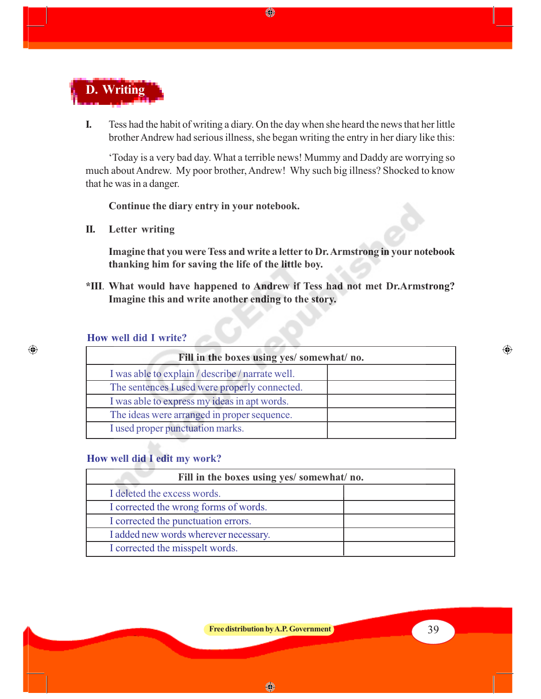

**I.** Tess had the habit of writing a diary. On the day when she heard the news that her little brother Andrew had serious illness, she began writing the entry in her diary like this:

♦

'Today is a very bad day. What a terrible news! Mummy and Daddy are worrying so much about Andrew. My poor brother, Andrew! Why such big illness? Shocked to know that he was in a danger.

**Continue the diary entry in your notebook.**

**II. Letter writing**

**Imagine that you were Tess and write a letter to Dr. Armstrong in your notebook thanking him for saving the life of the little boy.**

**\*III**. **What would have happened to Andrew if Tess had not met Dr.Armstrong? Imagine this and write another ending to the story.**

### **How well did I write?**

 $\bigoplus$ 

| Fill in the boxes using yes/somewhat/no.         |  |
|--------------------------------------------------|--|
| I was able to explain / describe / narrate well. |  |
| The sentences I used were properly connected.    |  |
| I was able to express my ideas in apt words.     |  |
| The ideas were arranged in proper sequence.      |  |
| I used proper punctuation marks.                 |  |

#### **How well did I edit my work?**

| Fill in the boxes using yes/ somewhat/ no. |  |  |
|--------------------------------------------|--|--|
| I deleted the excess words.                |  |  |
| I corrected the wrong forms of words.      |  |  |
| I corrected the punctuation errors.        |  |  |
| I added new words wherever necessary.      |  |  |
| I corrected the misspelt words.            |  |  |

◈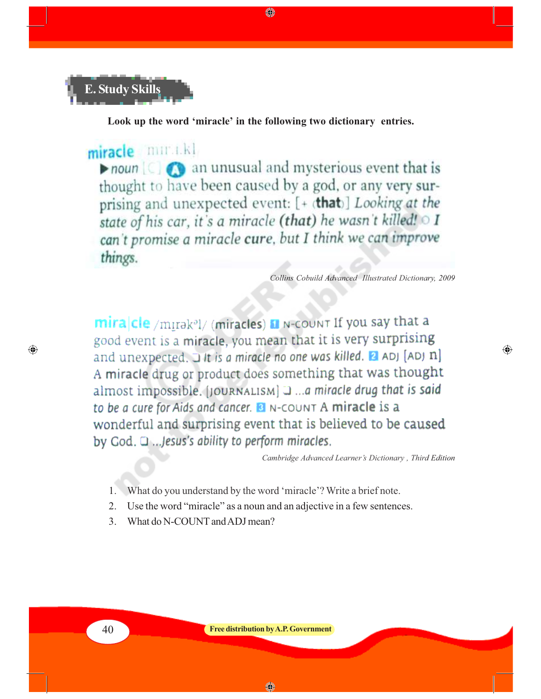

**Look up the word 'miracle' in the following two dictionary entries.**

♠

miracle min.i.kl  $\triangleright$  noun  $\lbrack$   $\odot$   $\odot$  an unusual and mysterious event that is thought to have been caused by a god, or any very surprising and unexpected event: [+ (that)] Looking at the state of his car, it's a miracle (that) he wasn't killed! o I can't promise a miracle cure, but I think we can improve things.

*Collins Cobuild Advanced Illustrated Dictionary, 2009*

⊕

mira|cle /mirak<sup>a</sup>l/ (miracles) at N-COUNT If you say that a good event is a miracle, you mean that it is very surprising and unexpected. If is a miracle no one was killed. **El** ADJ [ADJ n] A miracle drug or product does something that was thought almost impossible. [JOURNALISM] J ... a miracle drug that is said to be a cure for Aids and cancer. **B** N-COUNT A miracle is a wonderful and surprising event that is believed to be caused by God. Q ... Jesus's ability to perform miracles.

*Cambridge Advanced Learner's Dictionary , Third Edition*

- 1. What do you understand by the word 'miracle'? Write a brief note.
- 2. Use the word "miracle" as a noun and an adjective in a few sentences.
- 3. What do N-COUNT and ADJ mean?

 $\bigcirc$ 

 $\bigcirc$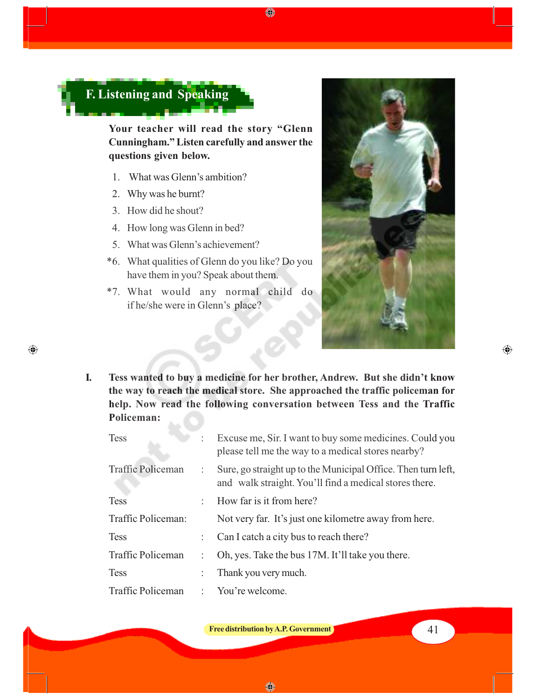

**Your teacher will read the story "Glenn Cunningham." Listen carefully and answer the questions given below.**

- 1. What was Glenn's ambition?
- 2. Why was he burnt?
- 3. How did he shout?

 $\bigoplus$ 

- 4. How long was Glenn in bed?
- 5. What was Glenn's achievement?
- \*6. What qualities of Glenn do you like? Do you have them in you? Speak about them.
- \*7. What would any normal child do if he/she were in Glenn's place?



**I. Tess wanted to buy a medicine for her brother, Andrew. But she didn't know the way to reach the medical store. She approached the traffic policeman for help. Now read the following conversation between Tess and the Traffic Policeman:**

♦

| <b>Tess</b>              | ÷   | Excuse me, Sir. I want to buy some medicines. Could you<br>please tell me the way to a medical stores nearby?             |
|--------------------------|-----|---------------------------------------------------------------------------------------------------------------------------|
| <b>Traffic Policeman</b> |     | : Sure, go straight up to the Municipal Office. Then turn left,<br>and walk straight. You'll find a medical stores there. |
| <b>Tess</b>              | × 1 | How far is it from here?                                                                                                  |
| Traffic Policeman:       |     | Not very far. It's just one kilometre away from here.                                                                     |
| <b>Tess</b>              |     | : Can I catch a city bus to reach there?                                                                                  |
| Traffic Policeman        |     | Oh, yes. Take the bus 17M. It'll take you there.                                                                          |
| <b>Tess</b>              |     | Thank you very much.                                                                                                      |
| Traffic Policeman        |     | : You're welcome.                                                                                                         |

**Free distribution by A.P. Government** 

◈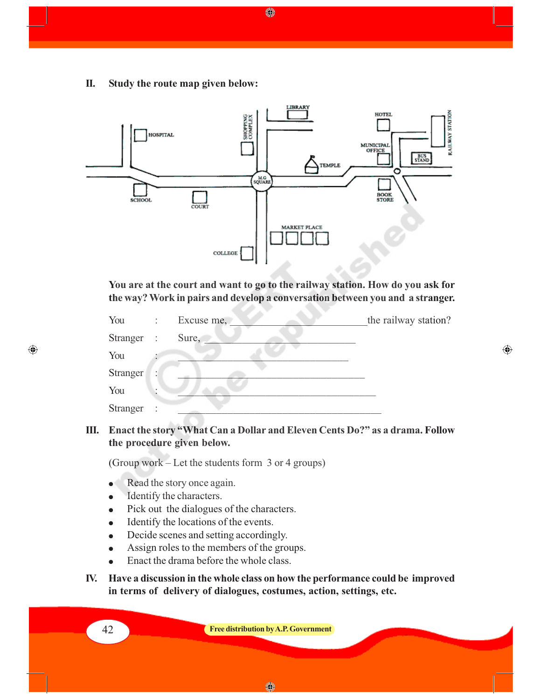**II. Study the route map given below:**



◈

**You are at the court and want to go to the railway station. How do you ask for the way? Work in pairs and develop a conversation between you and a stranger.**

| You        | $\ddot{\cdot}$       | Excuse me, | the railway station? |
|------------|----------------------|------------|----------------------|
| Stranger : |                      | Sure,      |                      |
| You        |                      |            |                      |
| Stranger   | ٠                    |            |                      |
| You        |                      |            |                      |
| Stranger   | $\ddot{\phantom{a}}$ |            |                      |

 $\bigoplus$ 

#### **III. Enact the story "What Can a Dollar and Eleven Cents Do?" as a drama. Follow the procedure given below.**

(Group work – Let the students form 3 or 4 groups)

- Read the story once again.
- Identify the characters.
- Pick out the dialogues of the characters.
- Identify the locations of the events.
- Decide scenes and setting accordingly.
- Assign roles to the members of the groups.
- Enact the drama before the whole class.
- **IV. Have a discussion in the whole class on how the performance could be improved in terms of delivery of dialogues, costumes, action, settings, etc.**

42 **Free distribution by A.P. Government**

◈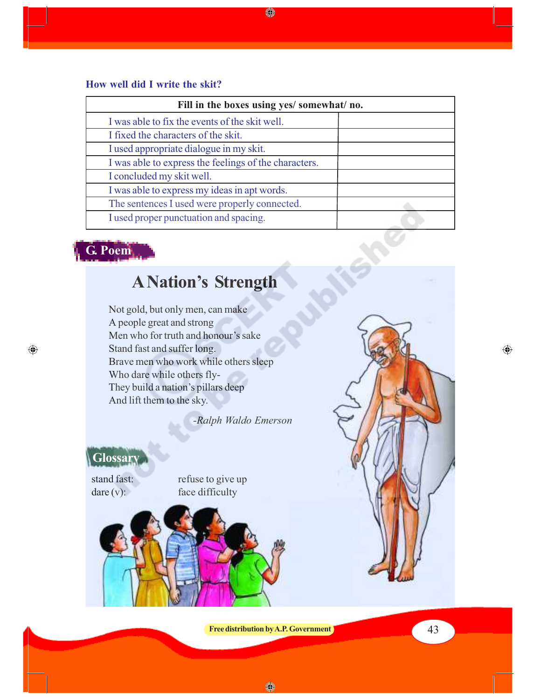### **How well did I write the skit?**

| Fill in the boxes using yes/ somewhat/ no.            |  |  |  |  |
|-------------------------------------------------------|--|--|--|--|
| I was able to fix the events of the skit well.        |  |  |  |  |
| I fixed the characters of the skit.                   |  |  |  |  |
| I used appropriate dialogue in my skit.               |  |  |  |  |
| I was able to express the feelings of the characters. |  |  |  |  |
| I concluded my skit well.                             |  |  |  |  |
| I was able to express my ideas in apt words.          |  |  |  |  |
| The sentences I used were properly connected.         |  |  |  |  |
| I used proper punctuation and spacing.                |  |  |  |  |

♦

# **G. Poem**

 $\bigoplus$ 

# **A Nation's Strength**

Not gold, but only men, can make A people great and strong Men who for truth and honour's sake Stand fast and suffer long. Brave men who work while others sleep Who dare while others fly-They build a nation's pillars deep And lift them to the sky.

*-Ralph Waldo Emerson*

### **Glossary**

stand fast: refuse to give up dare (v): face difficulty



**Free distribution by A.P. Government 1 13** 

◈

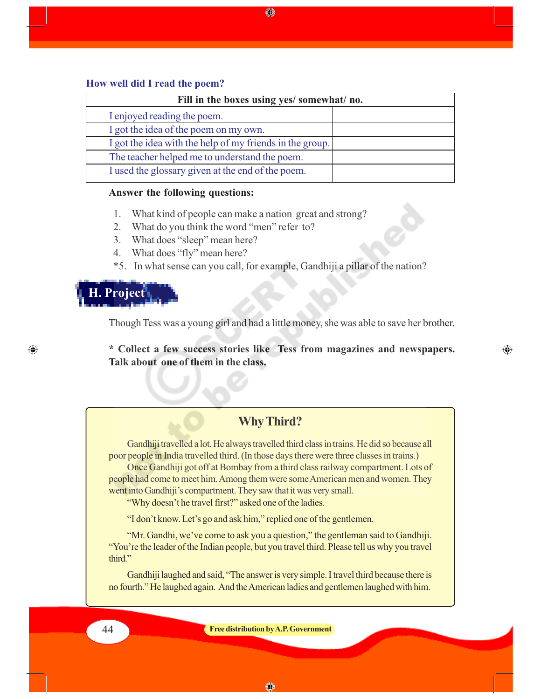#### **How well did I read the poem?**

| Fill in the boxes using yes/ somewhat/ no. |                                                          |  |  |  |
|--------------------------------------------|----------------------------------------------------------|--|--|--|
|                                            | I enjoyed reading the poem.                              |  |  |  |
|                                            | I got the idea of the poem on my own.                    |  |  |  |
|                                            | I got the idea with the help of my friends in the group. |  |  |  |
|                                            | The teacher helped me to understand the poem.            |  |  |  |
|                                            | I used the glossary given at the end of the poem.        |  |  |  |
|                                            |                                                          |  |  |  |

◈

#### **Answer the following questions:**

- 1. What kind of people can make a nation great and strong?
- 2. What do you think the word "men" refer to?
- 3. What does "sleep" mean here?
- 4. What does "fly" mean here?
- \*5. In what sense can you call, for example, Gandhiji a pillar of the nation?

## **H. Project**

⊕

Though Tess was a young girl and had a little money, she was able to save her brother.

**\* Collect a few success stories like Tess from magazines and newspapers. Talk about one of them in the class.**

⊕

### **Why Third?**

Gandhiji travelled a lot. He always travelled third class in trains. He did so because all poor people in India travelled third. (In those days there were three classes in trains.)

Once Gandhiji got off at Bombay from a third class railway compartment. Lots of people had come to meet him. Among them were some American men and women. They went into Gandhiji's compartment. They saw that it was very small.

"Why doesn't he travel first?" asked one of the ladies.

"I don't know. Let's go and ask him," replied one of the gentlemen.

"Mr. Gandhi, we've come to ask you a question," the gentleman said to Gandhiji. "You're the leader of the Indian people, but you travel third. Please tell us why you travel third."

Gandhiji laughed and said, "The answer is very simple. I travel third because there is no fourth." He laughed again. And the American ladies and gentlemen laughed with him.

44 **Free distribution by A.P. Government**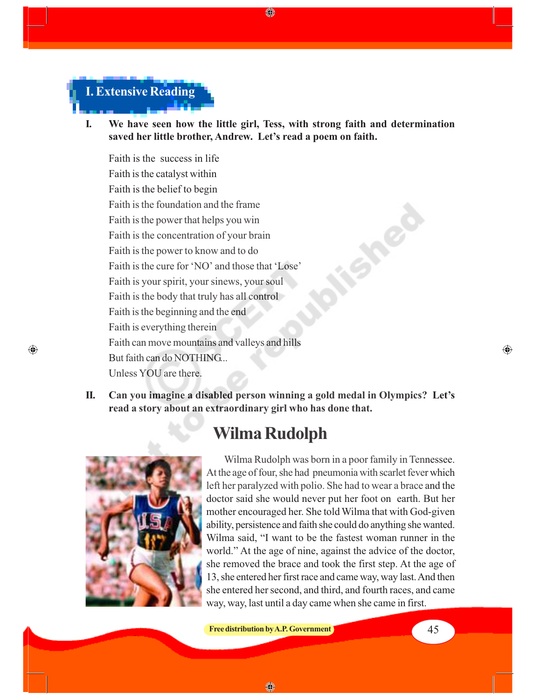

**I. We have seen how the little girl, Tess, with strong faith and determination saved her little brother, Andrew. Let's read a poem on faith.**

⊕

Faith is the success in life Faith is the catalyst within Faith is the belief to begin Faith is the foundation and the frame Faith is the power that helps you win Faith is the concentration of your brain Faith is the power to know and to do Faith is the cure for 'NO' and those that 'Lose' Faith is your spirit, your sinews, your soul Faith is the body that truly has all control Faith is the beginning and the end Faith is everything therein Faith can move mountains and valleys and hills But faith can do NOTHING... Unless YOU are there.

**II. Can you imagine a disabled person winning a gold medal in Olympics? Let's read a story about an extraordinary girl who has done that.**

# **Wilma Rudolph**



 $\bigcirc$ 

Wilma Rudolph was born in a poor family in Tennessee. At the age of four, she had pneumonia with scarlet fever which left her paralyzed with polio. She had to wear a brace and the doctor said she would never put her foot on earth. But her mother encouraged her. She told Wilma that with God-given ability, persistence and faith she could do anything she wanted. Wilma said, "I want to be the fastest woman runner in the world." At the age of nine, against the advice of the doctor, she removed the brace and took the first step. At the age of 13, she entered her first race and came way, way last. And then she entered her second, and third, and fourth races, and came way, way, last until a day came when she came in first.

⊕

◈